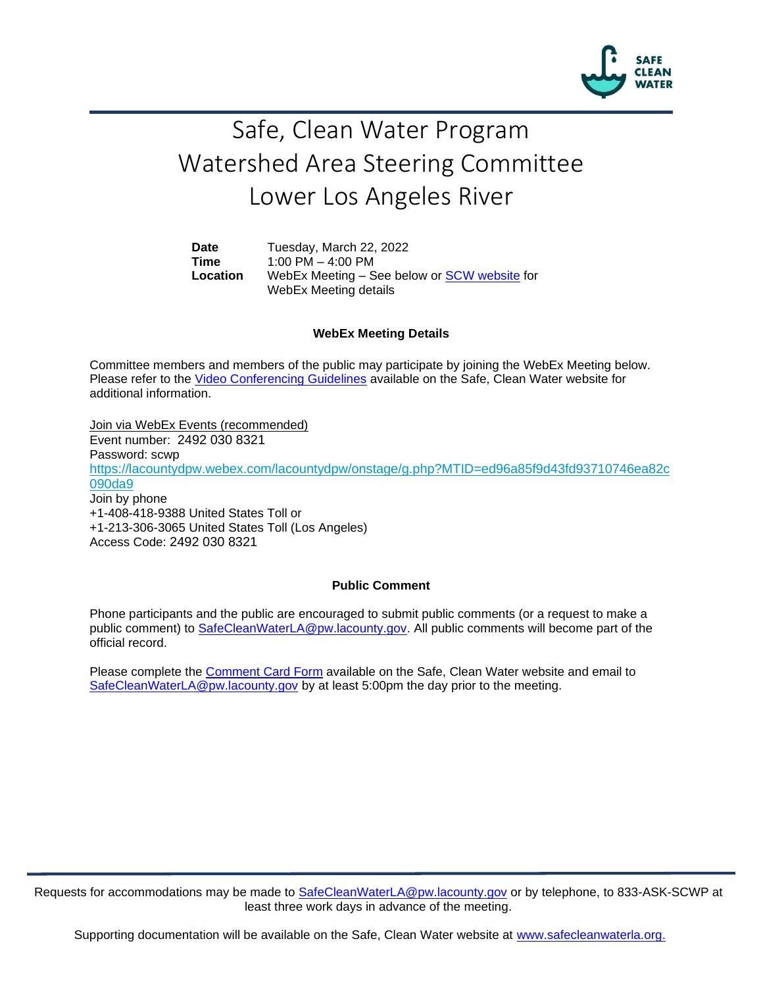

# Safe, Clean Water Program Watershed Area Steering Committee Lower Los Angeles River

**Date** Tuesday, March 22, 2022 **Time** 1:00 PM – 4:00 PM **Location** WebEx Meeting – See below or [SCW website](https://safecleanwaterla.org/lower-los-angeles-river-watershed-area/) for WebEx Meeting details

### **WebEx Meeting Details**

Committee members and members of the public may participate by joining the WebEx Meeting below. Please refer to the [Video Conferencing Guidelines](https://safecleanwaterla.org/video-conference-guidelines/) available on the Safe, Clean Water website for additional information.

Join via WebEx Events (recommended) Event number: 2492 030 8321 Password: scw[p](https://lacountydpw.webex.com/lacountydpw/onstage/g.php?MTID=ed96a85f9d43fd93710746ea82c090da9) [https://lacountydpw.webex.com/lacountydpw/onstage/g.php?MTID=ed96a85f9d43fd93710746ea82c](https://lacountydpw.webex.com/lacountydpw/onstage/g.php?MTID=ed96a85f9d43fd93710746ea82c090da9) [090da9](https://lacountydpw.webex.com/lacountydpw/onstage/g.php?MTID=ed96a85f9d43fd93710746ea82c090da9) Join by phone +1-408-418-9388 United States Toll or +1-213-306-3065 United States Toll (Los Angeles) Access Code: 2492 030 8321

### **Public Comment**

Phone participants and the public are encouraged to submit public comments (or a request to make a public comment) to [SafeCleanWaterLA@pw.lacounty.gov.](mailto:SafeCleanWaterLA@pw.lacounty.gov) All public comments will become part of the official record.

Please complete the Comment [Card Form](https://safecleanwaterla.org/video-conference-guidelines/) available on the Safe, Clean Water website and email to [SafeCleanWaterLA@pw.lacounty.gov](mailto:SafeCleanWaterLA@pw.lacounty.gov) by at least 5:00pm the day prior to the meeting.

Requests for accommodations may be made to [SafeCleanWaterLA@pw.lacounty.gov](mailto:SafeCleanWaterLA@pw.lacounty.gov) or by telephone, to 833-ASK-SCWP at least three work days in advance of the meeting.